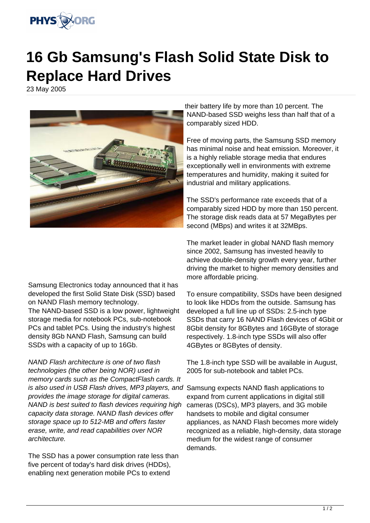

## **16 Gb Samsung's Flash Solid State Disk to Replace Hard Drives**

23 May 2005



Samsung Electronics today announced that it has developed the first Solid State Disk (SSD) based on NAND Flash memory technology. The NAND-based SSD is a low power, lightweight storage media for notebook PCs, sub-notebook PCs and tablet PCs. Using the industry's highest density 8Gb NAND Flash, Samsung can build SSDs with a capacity of up to 16Gb.

NAND Flash architecture is one of two flash technologies (the other being NOR) used in memory cards such as the CompactFlash cards. It is also used in USB Flash drives, MP3 players, and Samsung expects NAND flash applications to provides the image storage for digital cameras. NAND is best suited to flash devices requiring high capacity data storage. NAND flash devices offer storage space up to 512-MB and offers faster erase, write, and read capabilities over NOR architecture.

The SSD has a power consumption rate less than five percent of today's hard disk drives (HDDs), enabling next generation mobile PCs to extend

their battery life by more than 10 percent. The NAND-based SSD weighs less than half that of a comparably sized HDD.

Free of moving parts, the Samsung SSD memory has minimal noise and heat emission. Moreover, it is a highly reliable storage media that endures exceptionally well in environments with extreme temperatures and humidity, making it suited for industrial and military applications.

The SSD's performance rate exceeds that of a comparably sized HDD by more than 150 percent. The storage disk reads data at 57 MegaBytes per second (MBps) and writes it at 32MBps.

The market leader in global NAND flash memory since 2002, Samsung has invested heavily to achieve double-density growth every year, further driving the market to higher memory densities and more affordable pricing.

To ensure compatibility, SSDs have been designed to look like HDDs from the outside. Samsung has developed a full line up of SSDs: 2.5-inch type SSDs that carry 16 NAND Flash devices of 4Gbit or 8Gbit density for 8GBytes and 16GByte of storage respectively. 1.8-inch type SSDs will also offer 4GBytes or 8GBytes of density.

The 1.8-inch type SSD will be available in August, 2005 for sub-notebook and tablet PCs.

expand from current applications in digital still cameras (DSCs), MP3 players, and 3G mobile handsets to mobile and digital consumer appliances, as NAND Flash becomes more widely recognized as a reliable, high-density, data storage medium for the widest range of consumer demands.